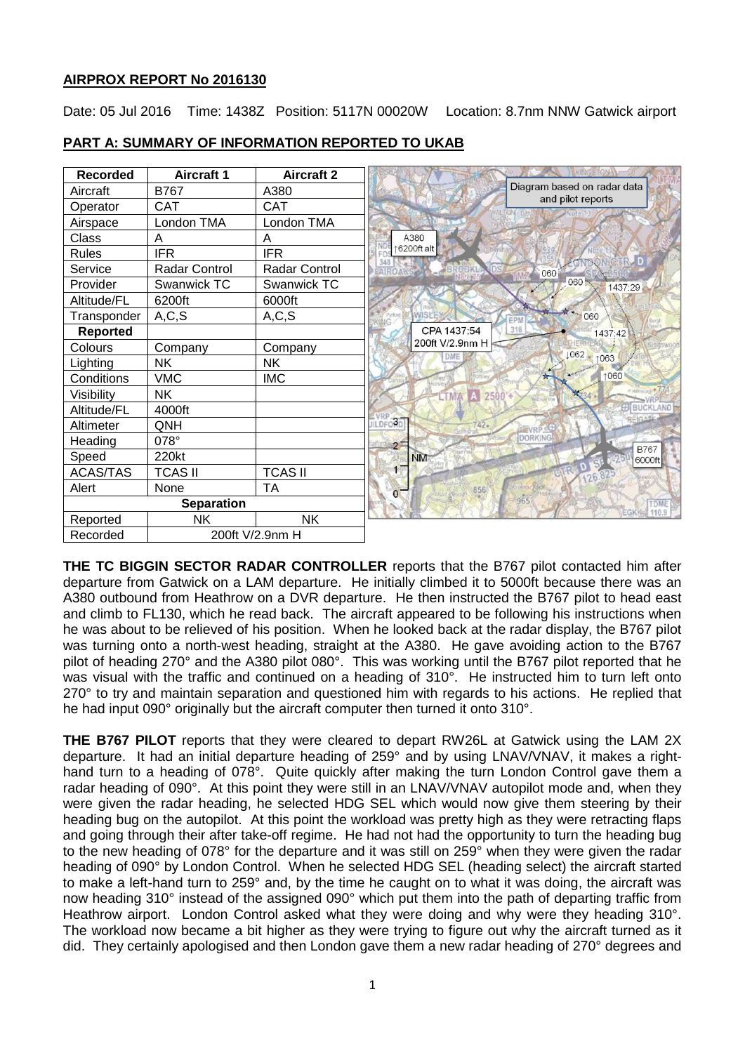## **AIRPROX REPORT No 2016130**

Date: 05 Jul 2016 Time: 1438Z Position: 5117N 00020W Location: 8.7nm NNW Gatwick airport

| <b>Recorded</b>   | <b>Aircraft 1</b>    | <b>Aircraft 2</b>    |                                                  |
|-------------------|----------------------|----------------------|--------------------------------------------------|
| Aircraft          | <b>B767</b>          | A380                 | Diagram based on radar data<br>and pilot reports |
| Operator          | <b>CAT</b>           | <b>CAT</b>           |                                                  |
| Airspace          | London TMA           | London TMA           |                                                  |
| Class             | Α                    | Α                    | A380                                             |
| <b>Rules</b>      | <b>IFR</b>           | <b>IFR</b>           | 6200ft alt                                       |
| Service           | <b>Radar Control</b> | <b>Radar Control</b> | EAIROAK<br>060                                   |
| Provider          | Swanwick TC          | Swanwick TC          | 060<br>1437:29                                   |
| Altitude/FL       | 6200ft               | 6000ft               |                                                  |
| Transponder       | A, C, S              | A, C, S              | $-060$                                           |
| <b>Reported</b>   |                      |                      | CPA 1437:54<br>316<br>1437:42                    |
| Colours           | Company              | Company              | 200ft V/2.9nm H<br>1062                          |
| Lighting          | <b>NK</b>            | <b>NK</b>            | 1063                                             |
| Conditions        | <b>VMC</b>           | <b>IMC</b>           | 1060                                             |
| Visibility        | <b>NK</b>            |                      | 2500'+                                           |
| Altitude/FL       | 4000ft               |                      | BUCKLAND                                         |
| Altimeter         | QNH                  |                      | $\overline{ORD}$<br><b>III DEC</b>               |
| Heading           | 078°                 |                      | <b>DORKING</b><br>$2 -$<br><b>B767</b>           |
| Speed             | 220kt                |                      | <b>NM</b><br>6000ft                              |
| <b>ACAS/TAS</b>   | <b>TCAS II</b>       | <b>TCAS II</b>       | vesn                                             |
| Alert             | None                 | <b>TA</b>            | 856<br>$\mathbf{0}$                              |
| <b>Separation</b> |                      |                      | 965<br><b>TDME</b>                               |
| Reported          | <b>NK</b>            | <b>NK</b>            | 110.9<br>EGKI                                    |
| Recorded          | 200ft V/2.9nm H      |                      |                                                  |

# **PART A: SUMMARY OF INFORMATION REPORTED TO UKAB**

**THE TC BIGGIN SECTOR RADAR CONTROLLER** reports that the B767 pilot contacted him after departure from Gatwick on a LAM departure. He initially climbed it to 5000ft because there was an A380 outbound from Heathrow on a DVR departure. He then instructed the B767 pilot to head east and climb to FL130, which he read back. The aircraft appeared to be following his instructions when he was about to be relieved of his position. When he looked back at the radar display, the B767 pilot was turning onto a north-west heading, straight at the A380. He gave avoiding action to the B767 pilot of heading 270° and the A380 pilot 080°. This was working until the B767 pilot reported that he was visual with the traffic and continued on a heading of 310°. He instructed him to turn left onto 270° to try and maintain separation and questioned him with regards to his actions. He replied that he had input 090° originally but the aircraft computer then turned it onto 310°.

**THE B767 PILOT** reports that they were cleared to depart RW26L at Gatwick using the LAM 2X departure. It had an initial departure heading of 259° and by using LNAV/VNAV, it makes a righthand turn to a heading of 078°. Quite quickly after making the turn London Control gave them a radar heading of 090°. At this point they were still in an LNAV/VNAV autopilot mode and, when they were given the radar heading, he selected HDG SEL which would now give them steering by their heading bug on the autopilot. At this point the workload was pretty high as they were retracting flaps and going through their after take-off regime. He had not had the opportunity to turn the heading bug to the new heading of 078° for the departure and it was still on 259° when they were given the radar heading of 090° by London Control. When he selected HDG SEL (heading select) the aircraft started to make a left-hand turn to 259° and, by the time he caught on to what it was doing, the aircraft was now heading 310° instead of the assigned 090° which put them into the path of departing traffic from Heathrow airport. London Control asked what they were doing and why were they heading 310°. The workload now became a bit higher as they were trying to figure out why the aircraft turned as it did. They certainly apologised and then London gave them a new radar heading of 270° degrees and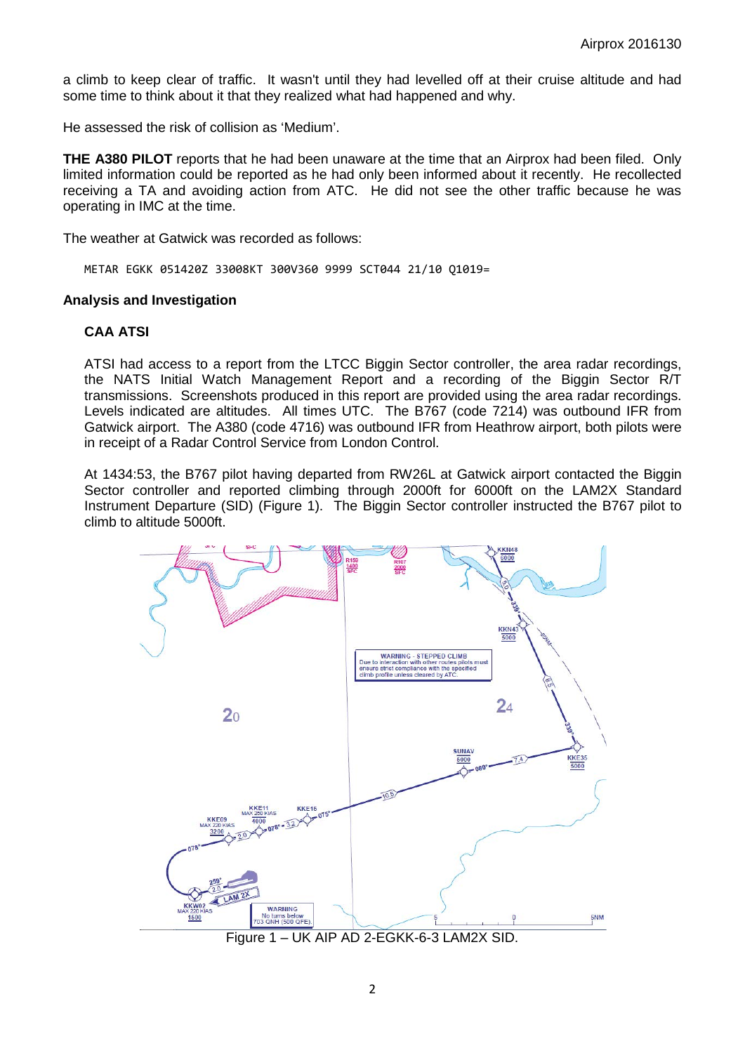a climb to keep clear of traffic. It wasn't until they had levelled off at their cruise altitude and had some time to think about it that they realized what had happened and why.

He assessed the risk of collision as 'Medium'.

**THE A380 PILOT** reports that he had been unaware at the time that an Airprox had been filed. Only limited information could be reported as he had only been informed about it recently. He recollected receiving a TA and avoiding action from ATC. He did not see the other traffic because he was operating in IMC at the time.

The weather at Gatwick was recorded as follows:

METAR EGKK 051420Z 33008KT 300V360 9999 SCT044 21/10 Q1019=

### **Analysis and Investigation**

## **CAA ATSI**

ATSI had access to a report from the LTCC Biggin Sector controller, the area radar recordings, the NATS Initial Watch Management Report and a recording of the Biggin Sector R/T transmissions. Screenshots produced in this report are provided using the area radar recordings. Levels indicated are altitudes. All times UTC. The B767 (code 7214) was outbound IFR from Gatwick airport. The A380 (code 4716) was outbound IFR from Heathrow airport, both pilots were in receipt of a Radar Control Service from London Control.

At 1434:53, the B767 pilot having departed from RW26L at Gatwick airport contacted the Biggin Sector controller and reported climbing through 2000ft for 6000ft on the LAM2X Standard Instrument Departure (SID) (Figure 1). The Biggin Sector controller instructed the B767 pilot to climb to altitude 5000ft.



Figure 1 – UK AIP AD 2-EGKK-6-3 LAM2X SID.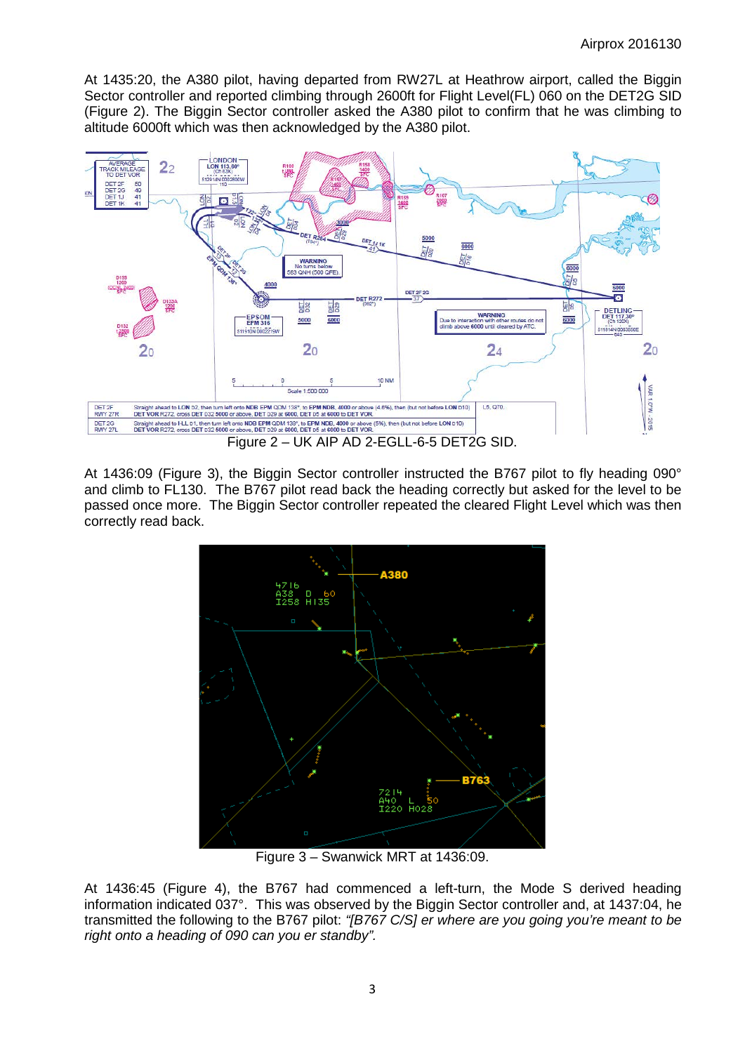At 1435:20, the A380 pilot, having departed from RW27L at Heathrow airport, called the Biggin Sector controller and reported climbing through 2600ft for Flight Level(FL) 060 on the DET2G SID (Figure 2). The Biggin Sector controller asked the A380 pilot to confirm that he was climbing to altitude 6000ft which was then acknowledged by the A380 pilot.



At 1436:09 (Figure 3), the Biggin Sector controller instructed the B767 pilot to fly heading 090° and climb to FL130. The B767 pilot read back the heading correctly but asked for the level to be passed once more. The Biggin Sector controller repeated the cleared Flight Level which was then correctly read back.



Figure 3 – Swanwick MRT at 1436:09.

At 1436:45 (Figure 4), the B767 had commenced a left-turn, the Mode S derived heading information indicated 037°. This was observed by the Biggin Sector controller and, at 1437:04, he transmitted the following to the B767 pilot: *"[B767 C/S] er where are you going you're meant to be right onto a heading of 090 can you er standby".*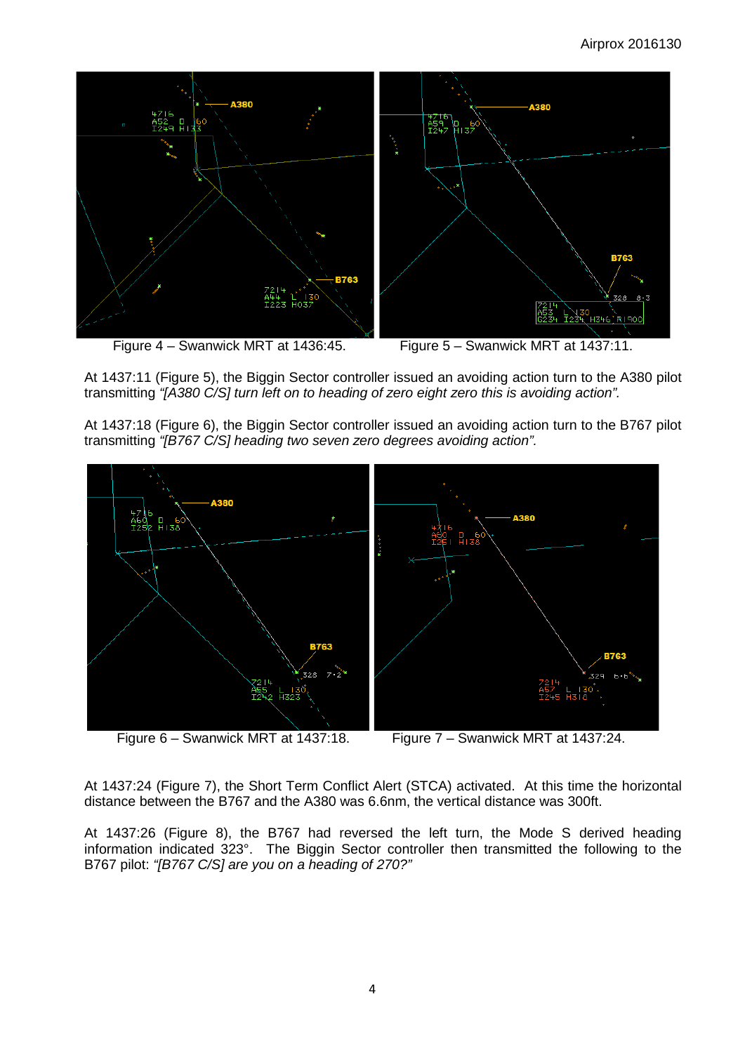

At 1437:11 (Figure 5), the Biggin Sector controller issued an avoiding action turn to the A380 pilot transmitting *"[A380 C/S] turn left on to heading of zero eight zero this is avoiding action".*

At 1437:18 (Figure 6), the Biggin Sector controller issued an avoiding action turn to the B767 pilot transmitting *"[B767 C/S] heading two seven zero degrees avoiding action".*



At 1437:24 (Figure 7), the Short Term Conflict Alert (STCA) activated. At this time the horizontal distance between the B767 and the A380 was 6.6nm, the vertical distance was 300ft.

At 1437:26 (Figure 8), the B767 had reversed the left turn, the Mode S derived heading information indicated 323°. The Biggin Sector controller then transmitted the following to the B767 pilot: *"[B767 C/S] are you on a heading of 270?"*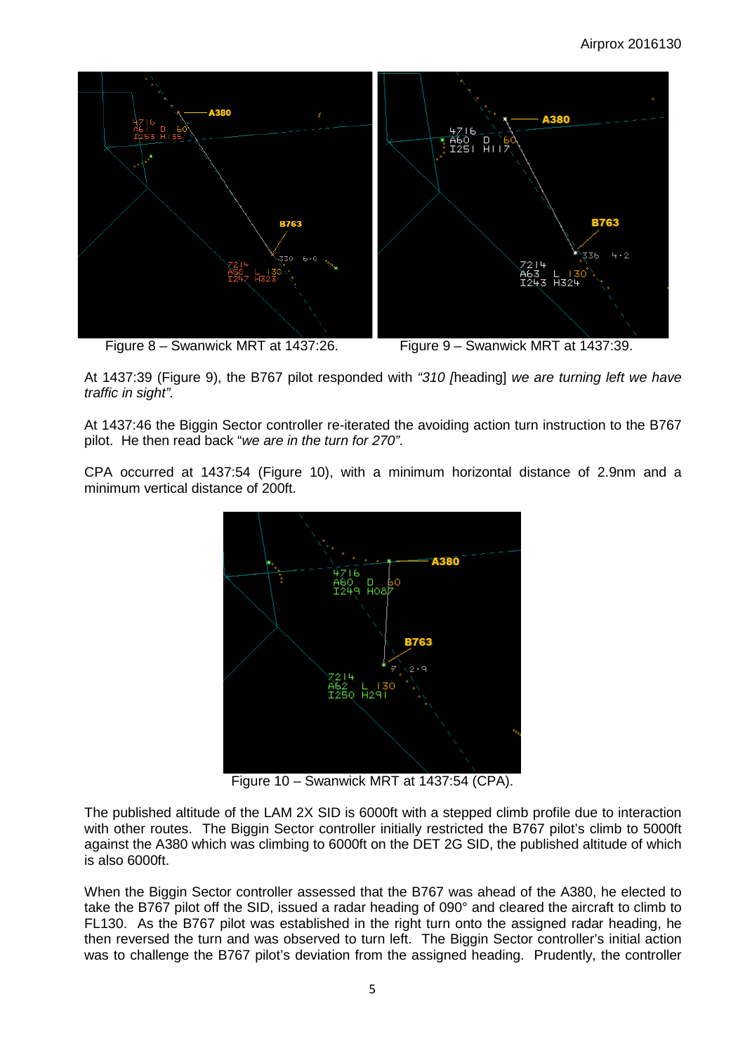

At 1437:39 (Figure 9), the B767 pilot responded with *"310 [*heading] *we are turning left we have traffic in sight".*

At 1437:46 the Biggin Sector controller re-iterated the avoiding action turn instruction to the B767 pilot. He then read back "*we are in the turn for 270"*.

CPA occurred at 1437:54 (Figure 10), with a minimum horizontal distance of 2.9nm and a minimum vertical distance of 200ft.



Figure 10 – Swanwick MRT at 1437:54 (CPA).

The published altitude of the LAM 2X SID is 6000ft with a stepped climb profile due to interaction with other routes. The Biggin Sector controller initially restricted the B767 pilot's climb to 5000ft against the A380 which was climbing to 6000ft on the DET 2G SID, the published altitude of which is also 6000ft.

When the Biggin Sector controller assessed that the B767 was ahead of the A380, he elected to take the B767 pilot off the SID, issued a radar heading of 090° and cleared the aircraft to climb to FL130. As the B767 pilot was established in the right turn onto the assigned radar heading, he then reversed the turn and was observed to turn left. The Biggin Sector controller's initial action was to challenge the B767 pilot's deviation from the assigned heading. Prudently, the controller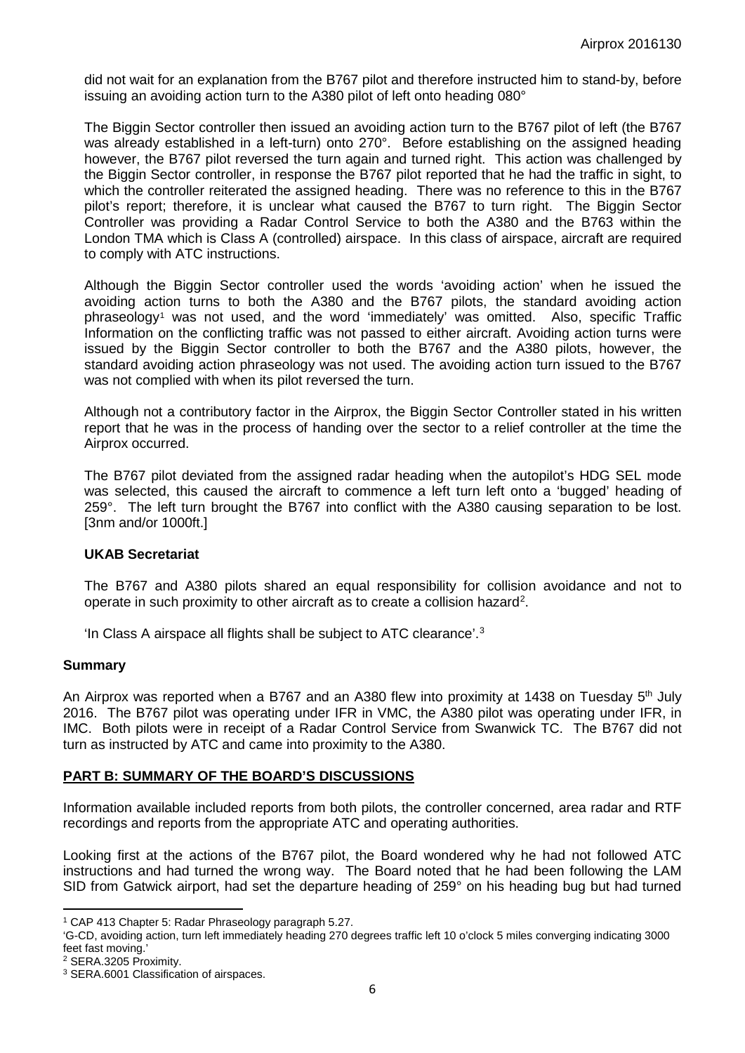did not wait for an explanation from the B767 pilot and therefore instructed him to stand-by, before issuing an avoiding action turn to the A380 pilot of left onto heading 080°

The Biggin Sector controller then issued an avoiding action turn to the B767 pilot of left (the B767 was already established in a left-turn) onto 270°. Before establishing on the assigned heading however, the B767 pilot reversed the turn again and turned right. This action was challenged by the Biggin Sector controller, in response the B767 pilot reported that he had the traffic in sight, to which the controller reiterated the assigned heading. There was no reference to this in the B767 pilot's report; therefore, it is unclear what caused the B767 to turn right. The Biggin Sector Controller was providing a Radar Control Service to both the A380 and the B763 within the London TMA which is Class A (controlled) airspace. In this class of airspace, aircraft are required to comply with ATC instructions.

Although the Biggin Sector controller used the words 'avoiding action' when he issued the avoiding action turns to both the A380 and the B767 pilots, the standard avoiding action phraseology[1](#page-5-0) was not used, and the word 'immediately' was omitted. Also, specific Traffic Information on the conflicting traffic was not passed to either aircraft. Avoiding action turns were issued by the Biggin Sector controller to both the B767 and the A380 pilots, however, the standard avoiding action phraseology was not used. The avoiding action turn issued to the B767 was not complied with when its pilot reversed the turn.

Although not a contributory factor in the Airprox, the Biggin Sector Controller stated in his written report that he was in the process of handing over the sector to a relief controller at the time the Airprox occurred.

The B767 pilot deviated from the assigned radar heading when the autopilot's HDG SEL mode was selected, this caused the aircraft to commence a left turn left onto a 'bugged' heading of 259°. The left turn brought the B767 into conflict with the A380 causing separation to be lost. [3nm and/or 1000ft.]

#### **UKAB Secretariat**

The B767 and A380 pilots shared an equal responsibility for collision avoidance and not to operate in such proximity to other aircraft as to create a collision hazard<sup>[2](#page-5-1)</sup>.

'In Class A airspace all flights shall be subject to ATC clearance'.[3](#page-5-2)

#### **Summary**

An Airprox was reported when a B767 and an A380 flew into proximity at 1438 on Tuesday 5<sup>th</sup> July 2016. The B767 pilot was operating under IFR in VMC, the A380 pilot was operating under IFR, in IMC. Both pilots were in receipt of a Radar Control Service from Swanwick TC. The B767 did not turn as instructed by ATC and came into proximity to the A380.

#### **PART B: SUMMARY OF THE BOARD'S DISCUSSIONS**

Information available included reports from both pilots, the controller concerned, area radar and RTF recordings and reports from the appropriate ATC and operating authorities.

Looking first at the actions of the B767 pilot, the Board wondered why he had not followed ATC instructions and had turned the wrong way. The Board noted that he had been following the LAM SID from Gatwick airport, had set the departure heading of 259° on his heading bug but had turned

 $\overline{\phantom{a}}$ 

<span id="page-5-0"></span><sup>1</sup> CAP 413 Chapter 5: Radar Phraseology paragraph 5.27.

<sup>&#</sup>x27;G-CD, avoiding action, turn left immediately heading 270 degrees traffic left 10 o'clock 5 miles converging indicating 3000 feet fast moving.'

<span id="page-5-1"></span><sup>2</sup> SERA.3205 Proximity.

<span id="page-5-2"></span><sup>3</sup> SERA.6001 Classification of airspaces.